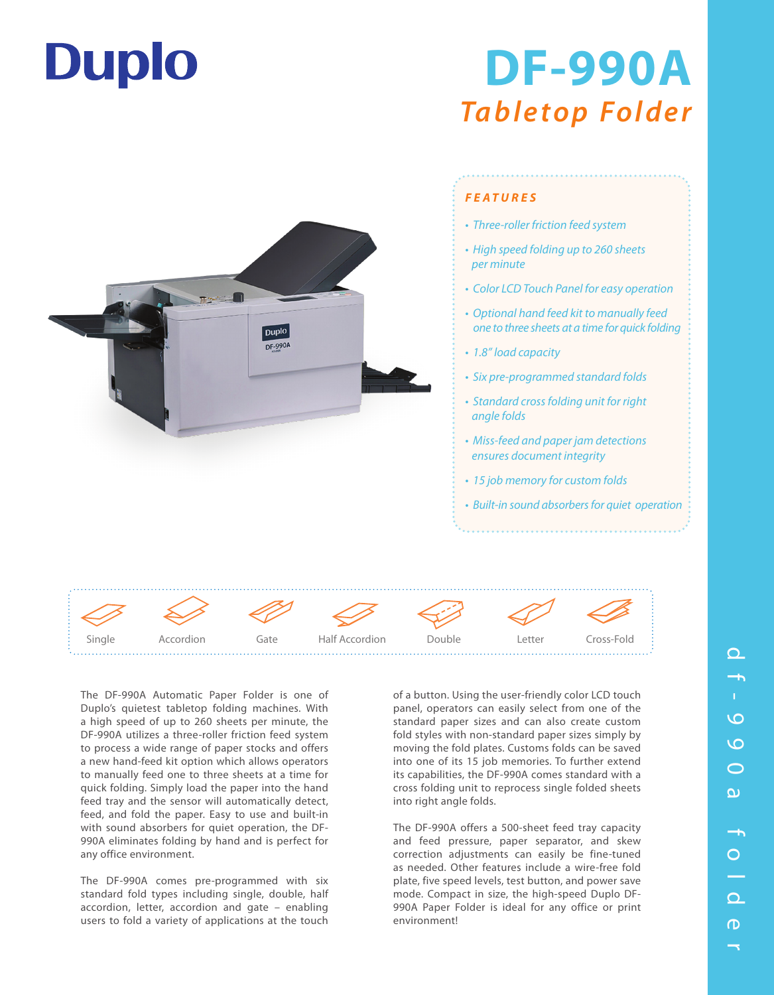# **Duplo**

## *Tabletop Folder* **DF-990A**



### *FEATURES*

- *Three-roller friction feed system*
- *High speed folding up to 260 sheets per minute*
- *Color LCD Touch Panel for easy operation*
- *Optional hand feed kit to manually feed one to three sheets at a time for quick folding*
- *1.8" load capacity*
- *Six pre-programmed standard folds*
- *Standard cross folding unit for right angle folds*
- *Miss-feed and paper jam detections ensures document integrity*
- *15 job memory for custom folds*
- *Built-in sound absorbers for quiet operation*



The DF-990A Automatic Paper Folder is one of Duplo's quietest tabletop folding machines. With a high speed of up to 260 sheets per minute, the DF-990A utilizes a three-roller friction feed system to process a wide range of paper stocks and offers a new hand-feed kit option which allows operators to manually feed one to three sheets at a time for quick folding. Simply load the paper into the hand feed tray and the sensor will automatically detect, feed, and fold the paper. Easy to use and built-in with sound absorbers for quiet operation, the DF-990A eliminates folding by hand and is perfect for any office environment.

The DF-990A comes pre-programmed with six standard fold types including single, double, half accordion, letter, accordion and gate – enabling users to fold a variety of applications at the touch

of a button. Using the user-friendly color LCD touch panel, operators can easily select from one of the standard paper sizes and can also create custom fold styles with non-standard paper sizes simply by moving the fold plates. Customs folds can be saved into one of its 15 job memories. To further extend its capabilities, the DF-990A comes standard with a cross folding unit to reprocess single folded sheets into right angle folds.

The DF-990A offers a 500-sheet feed tray capacity and feed pressure, paper separator, and skew correction adjustments can easily be fine-tuned as needed. Other features include a wire-free fold plate, five speed levels, test button, and power save mode. Compact in size, the high-speed Duplo DF-990A Paper Folder is ideal for any office or print environment!